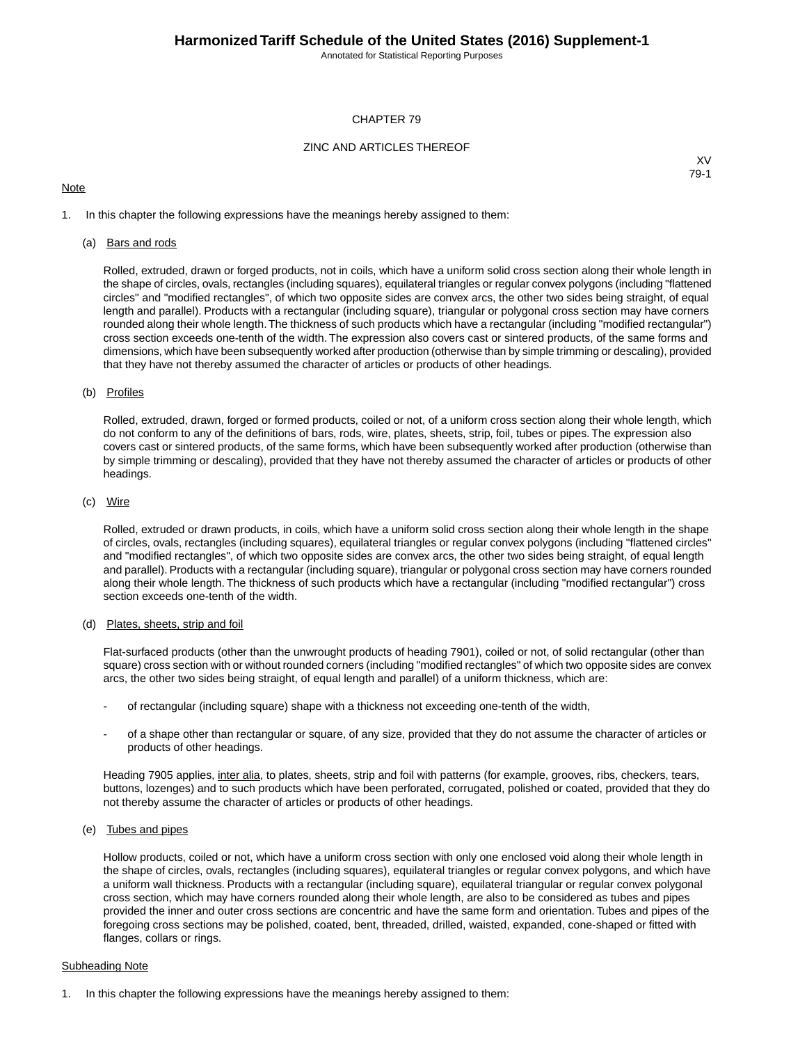Annotated for Statistical Reporting Purposes

## CHAPTER 79

## ZINC AND ARTICLES THEREOF

## **Note**

XV 79-1

1. In this chapter the following expressions have the meanings hereby assigned to them:

### (a) Bars and rods

Rolled, extruded, drawn or forged products, not in coils, which have a uniform solid cross section along their whole length in the shape of circles, ovals, rectangles (including squares), equilateral triangles or regular convex polygons (including "flattened circles" and "modified rectangles", of which two opposite sides are convex arcs, the other two sides being straight, of equal length and parallel). Products with a rectangular (including square), triangular or polygonal cross section may have corners rounded along their whole length.The thickness of such products which have a rectangular (including "modified rectangular") cross section exceeds one-tenth of the width. The expression also covers cast or sintered products, of the same forms and dimensions, which have been subsequently worked after production (otherwise than by simple trimming or descaling), provided that they have not thereby assumed the character of articles or products of other headings.

### (b) Profiles

Rolled, extruded, drawn, forged or formed products, coiled or not, of a uniform cross section along their whole length, which do not conform to any of the definitions of bars, rods, wire, plates, sheets, strip, foil, tubes or pipes. The expression also covers cast or sintered products, of the same forms, which have been subsequently worked after production (otherwise than by simple trimming or descaling), provided that they have not thereby assumed the character of articles or products of other headings.

### (c) Wire

Rolled, extruded or drawn products, in coils, which have a uniform solid cross section along their whole length in the shape of circles, ovals, rectangles (including squares), equilateral triangles or regular convex polygons (including "flattened circles" and "modified rectangles", of which two opposite sides are convex arcs, the other two sides being straight, of equal length and parallel). Products with a rectangular (including square), triangular or polygonal cross section may have corners rounded along their whole length. The thickness of such products which have a rectangular (including "modified rectangular") cross section exceeds one-tenth of the width.

## (d) Plates, sheets, strip and foil

Flat-surfaced products (other than the unwrought products of heading 7901), coiled or not, of solid rectangular (other than square) cross section with or without rounded corners (including "modified rectangles" of which two opposite sides are convex arcs, the other two sides being straight, of equal length and parallel) of a uniform thickness, which are:

- of rectangular (including square) shape with a thickness not exceeding one-tenth of the width,
- of a shape other than rectangular or square, of any size, provided that they do not assume the character of articles or products of other headings.

Heading 7905 applies, inter alia, to plates, sheets, strip and foil with patterns (for example, grooves, ribs, checkers, tears, buttons, lozenges) and to such products which have been perforated, corrugated, polished or coated, provided that they do not thereby assume the character of articles or products of other headings.

(e) Tubes and pipes

Hollow products, coiled or not, which have a uniform cross section with only one enclosed void along their whole length in the shape of circles, ovals, rectangles (including squares), equilateral triangles or regular convex polygons, and which have a uniform wall thickness. Products with a rectangular (including square), equilateral triangular or regular convex polygonal cross section, which may have corners rounded along their whole length, are also to be considered as tubes and pipes provided the inner and outer cross sections are concentric and have the same form and orientation. Tubes and pipes of the foregoing cross sections may be polished, coated, bent, threaded, drilled, waisted, expanded, cone-shaped or fitted with flanges, collars or rings.

### Subheading Note

1. In this chapter the following expressions have the meanings hereby assigned to them: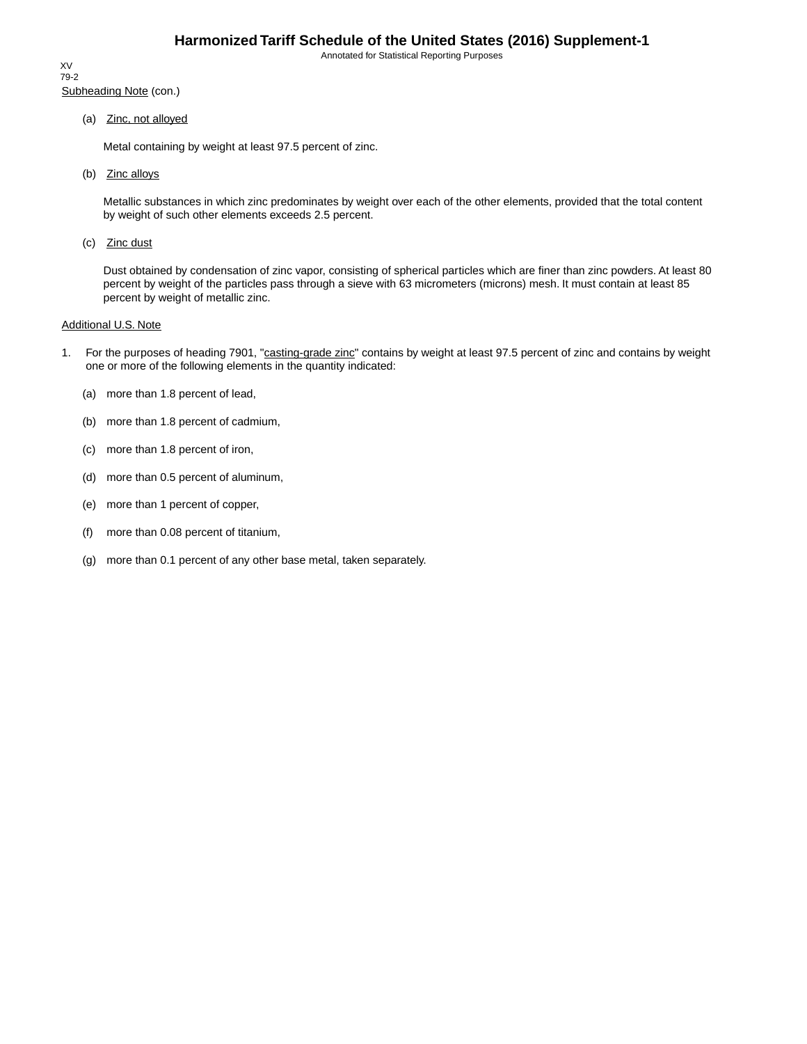Annotated for Statistical Reporting Purposes

Subheading Note (con.) XV 79-2

(a) Zinc, not alloyed

Metal containing by weight at least 97.5 percent of zinc.

(b) Zinc alloys

Metallic substances in which zinc predominates by weight over each of the other elements, provided that the total content by weight of such other elements exceeds 2.5 percent.

(c) Zinc dust

Dust obtained by condensation of zinc vapor, consisting of spherical particles which are finer than zinc powders. At least 80 percent by weight of the particles pass through a sieve with 63 micrometers (microns) mesh. It must contain at least 85 percent by weight of metallic zinc.

## Additional U.S. Note

- 1. For the purposes of heading 7901, "casting-grade zinc" contains by weight at least 97.5 percent of zinc and contains by weight one or more of the following elements in the quantity indicated:
	- (a) more than 1.8 percent of lead,
	- (b) more than 1.8 percent of cadmium,
	- (c) more than 1.8 percent of iron,
	- (d) more than 0.5 percent of aluminum,
	- (e) more than 1 percent of copper,
	- (f) more than 0.08 percent of titanium,
	- (g) more than 0.1 percent of any other base metal, taken separately.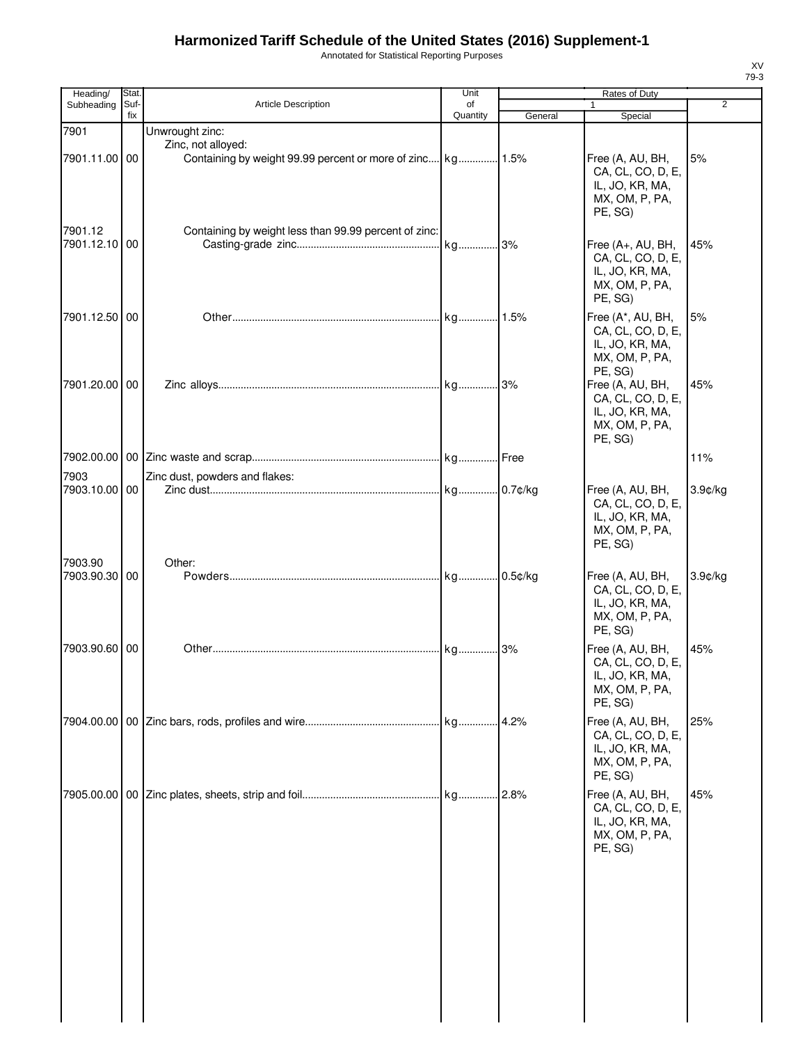# **Harmonized Tariff Schedule of the United States (2016) Supplement-1**

Annotated for Statistical Reporting Purposes

| Heading/                 | Stat.       |                                                                                                     | Unit           | Rates of Duty |                                                                                                          |                |
|--------------------------|-------------|-----------------------------------------------------------------------------------------------------|----------------|---------------|----------------------------------------------------------------------------------------------------------|----------------|
| Subheading               | Suf-<br>fix | Article Description                                                                                 | of<br>Quantity | General       | $\mathbf{1}$<br>Special                                                                                  | $\overline{2}$ |
| 7901<br>7901.11.00 00    |             | Unwrought zinc:<br>Zinc, not alloyed:<br>Containing by weight 99.99 percent or more of zinc kg 1.5% |                |               | Free (A, AU, BH,<br>CA, CL, CO, D, E,<br>IL, JO, KR, MA,                                                 | 5%             |
| 7901.12<br>7901.12.10    | 00          | Containing by weight less than 99.99 percent of zinc:                                               |                |               | MX, OM, P, PA,<br>PE, SG)<br>Free (A+, AU, BH,<br>CA, CL, CO, D, E,<br>IL, JO, KR, MA,<br>MX, OM, P, PA, | 45%            |
| 7901.12.50 00            |             |                                                                                                     |                |               | PE, SG)<br>Free (A*, AU, BH,<br>CA, CL, CO, D, E,<br>IL, JO, KR, MA,<br>MX, OM, P, PA,                   | 5%             |
| 7901.20.00 00            |             |                                                                                                     |                |               | PE, SG)<br>Free (A, AU, BH,<br>CA, CL, CO, D, E,<br>IL, JO, KR, MA,<br>MX, OM, P, PA,<br>PE, SG)         | 45%            |
|                          |             |                                                                                                     |                |               |                                                                                                          | 11%            |
| 7903                     |             | Zinc dust, powders and flakes:                                                                      |                |               |                                                                                                          |                |
| 7903.10.00 00            |             |                                                                                                     |                |               | Free (A, AU, BH,<br>CA, CL, CO, D, E,<br>IL, JO, KR, MA,<br>MX, OM, P, PA,<br>PE, SG)                    | $3.9$ ¢/kg     |
| 7903.90<br>7903.90.30 00 |             | Other:                                                                                              |                | .0.5¢/kg      | Free (A, AU, BH,<br>CA, CL, CO, D, E,<br>IL, JO, KR, MA,<br>MX, OM, P, PA,<br>PE, SG)                    | 3.9¢/kg        |
| 7903.90.60 00            |             |                                                                                                     |                |               | Free (A, AU, BH,<br>CA, CL, CO, D, E,<br>IL, JO, KR, MA,<br>MX, OM, P, PA,<br>PE, SG)                    | 45%            |
|                          |             |                                                                                                     |                |               | Free (A, AU, BH,<br>CA, CL, CO, D, E,<br>IL, JO, KR, MA,<br>MX, OM, P, PA,<br>PE, SG)                    | 25%            |
| 7905.00.00               |             |                                                                                                     |                |               | Free (A, AU, BH,<br>CA, CL, CO, D, E,<br>IL, JO, KR, MA,<br>MX, OM, P, PA,<br>PE, SG)                    | 45%            |
|                          |             |                                                                                                     |                |               |                                                                                                          |                |

XV 79-3